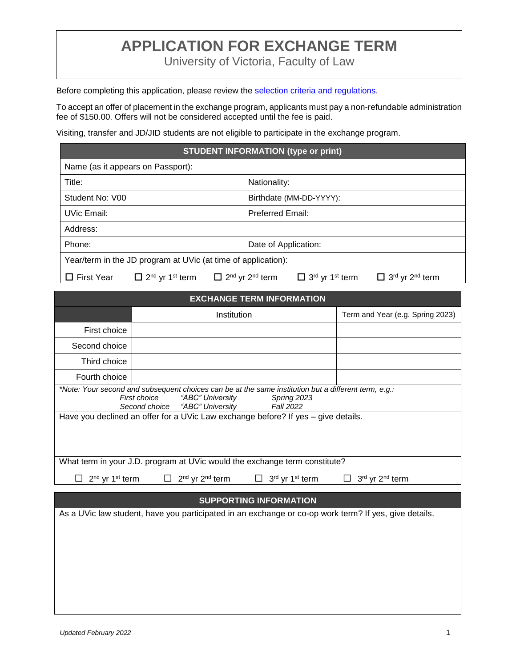## **APPLICATION FOR EXCHANGE TERM**

University of Victoria, Faculty of Law

Before completing this application, please review the [selection criteria and regulations.](http://www.uvic.ca/law/jd/exchangeterms/outgoingexchange/index.php#Selection%20criteria)

To accept an offer of placement in the exchange program, applicants must pay a non-refundable administration fee of \$150.00. Offers will not be considered accepted until the fee is paid.

Visiting, transfer and JD/JID students are not eligible to participate in the exchange program.

## **STUDENT INFORMATION (type or print)**

|                                                               |                                                |              |                                                | .                                              |                                                |  |  |
|---------------------------------------------------------------|------------------------------------------------|--------------|------------------------------------------------|------------------------------------------------|------------------------------------------------|--|--|
|                                                               | Name (as it appears on Passport):              |              |                                                |                                                |                                                |  |  |
| Title:                                                        |                                                | Nationality: |                                                |                                                |                                                |  |  |
| Student No: V00                                               |                                                |              | Birthdate (MM-DD-YYYY):                        |                                                |                                                |  |  |
| UVic Email:                                                   |                                                |              | <b>Preferred Email:</b>                        |                                                |                                                |  |  |
| Address:                                                      |                                                |              |                                                |                                                |                                                |  |  |
| Phone:                                                        |                                                |              | Date of Application:                           |                                                |                                                |  |  |
| Year/term in the JD program at UVic (at time of application): |                                                |              |                                                |                                                |                                                |  |  |
| $\Box$ First Year                                             | $\Box$ 2 <sup>nd</sup> yr 1 <sup>st</sup> term |              | $\Box$ 2 <sup>nd</sup> yr 2 <sup>nd</sup> term | $\Box$ 3 <sup>rd</sup> yr 1 <sup>st</sup> term | $\Box$ 3 <sup>rd</sup> yr 2 <sup>nd</sup> term |  |  |
| <b>EXCHANGE TERM INFORMATION</b>                              |                                                |              |                                                |                                                |                                                |  |  |

| <b>EXCHANGE TERM INFORMATION</b>                                                                                                                                                                              |                                                                                                       |                                  |  |  |  |  |
|---------------------------------------------------------------------------------------------------------------------------------------------------------------------------------------------------------------|-------------------------------------------------------------------------------------------------------|----------------------------------|--|--|--|--|
|                                                                                                                                                                                                               | Institution                                                                                           | Term and Year (e.g. Spring 2023) |  |  |  |  |
| First choice                                                                                                                                                                                                  |                                                                                                       |                                  |  |  |  |  |
| Second choice                                                                                                                                                                                                 |                                                                                                       |                                  |  |  |  |  |
| Third choice                                                                                                                                                                                                  |                                                                                                       |                                  |  |  |  |  |
| Fourth choice                                                                                                                                                                                                 |                                                                                                       |                                  |  |  |  |  |
| *Note: Your second and subsequent choices can be at the same institution but a different term, e.g.:<br>"ABC" University<br><b>First choice</b><br>Spring 2023<br>Second choice "ABC" University<br>Fall 2022 |                                                                                                       |                                  |  |  |  |  |
|                                                                                                                                                                                                               | Have you declined an offer for a UVic Law exchange before? If yes - give details.                     |                                  |  |  |  |  |
| What term in your J.D. program at UVic would the exchange term constitute?                                                                                                                                    |                                                                                                       |                                  |  |  |  |  |
| 2 <sup>nd</sup> yr 1 <sup>st</sup> term                                                                                                                                                                       | 2 <sup>nd</sup> yr 2 <sup>nd</sup> term<br>3rd yr 1 <sup>st</sup> term                                | 3rd yr 2nd term                  |  |  |  |  |
| <b>SUPPORTING INFORMATION</b>                                                                                                                                                                                 |                                                                                                       |                                  |  |  |  |  |
|                                                                                                                                                                                                               | As a UVic law student, have you participated in an exchange or co-op work term? If yes, give details. |                                  |  |  |  |  |